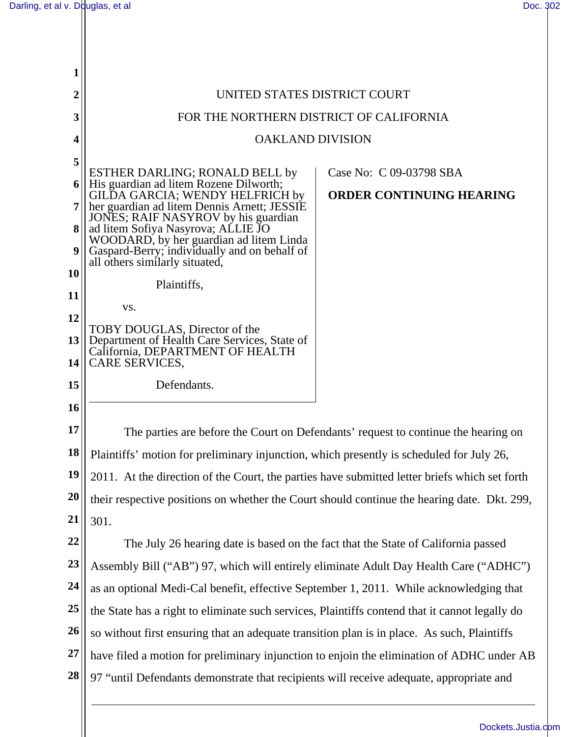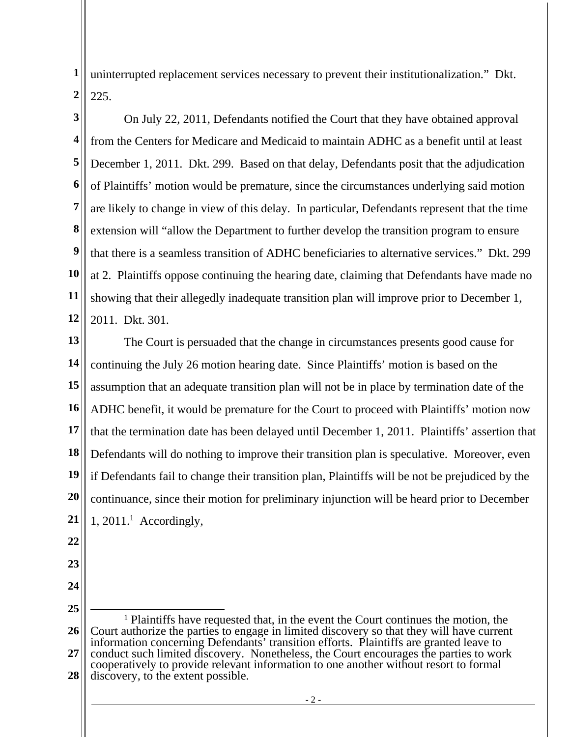**1 2**  uninterrupted replacement services necessary to prevent their institutionalization." Dkt. 225.

**3 4 5 6 7 8 9 10 11 12**  On July 22, 2011, Defendants notified the Court that they have obtained approval from the Centers for Medicare and Medicaid to maintain ADHC as a benefit until at least December 1, 2011. Dkt. 299. Based on that delay, Defendants posit that the adjudication of Plaintiffs' motion would be premature, since the circumstances underlying said motion are likely to change in view of this delay. In particular, Defendants represent that the time extension will "allow the Department to further develop the transition program to ensure that there is a seamless transition of ADHC beneficiaries to alternative services." Dkt. 299 at 2. Plaintiffs oppose continuing the hearing date, claiming that Defendants have made no showing that their allegedly inadequate transition plan will improve prior to December 1, 2011. Dkt. 301.

**13 14 15 16 17 18 19 20 21**  The Court is persuaded that the change in circumstances presents good cause for continuing the July 26 motion hearing date. Since Plaintiffs' motion is based on the assumption that an adequate transition plan will not be in place by termination date of the ADHC benefit, it would be premature for the Court to proceed with Plaintiffs' motion now that the termination date has been delayed until December 1, 2011. Plaintiffs' assertion that Defendants will do nothing to improve their transition plan is speculative. Moreover, even if Defendants fail to change their transition plan, Plaintiffs will be not be prejudiced by the continuance, since their motion for preliminary injunction will be heard prior to December  $1, 2011<sup>1</sup>$  Accordingly,

- **22**
- **23**
- **24 25**

**<sup>26</sup>  27 28**  1 Plaintiffs have requested that, in the event the Court continues the motion, the Court authorize the parties to engage in limited discovery so that they will have current information concerning Defendants' transition efforts. Plaintiffs are granted leave to conduct such limited discovery. Nonetheless, the Court encourages the parties to work cooperatively to provide relevant information to one another without resort to formal discovery, to the extent possible.